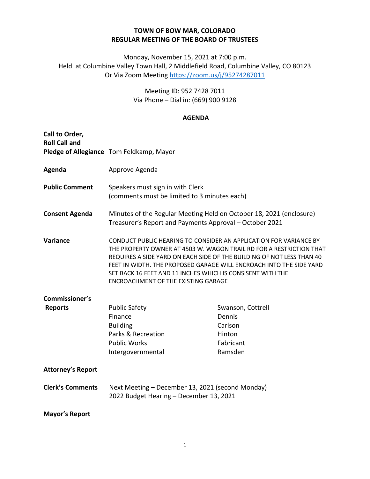## **TOWN OF BOW MAR, COLORADO REGULAR MEETING OF THE BOARD OF TRUSTEES**

Monday, November 15, 2021 at 7:00 p.m. Held at Columbine Valley Town Hall, 2 Middlefield Road, Columbine Valley, CO 80123 Or Via Zoom Meeting<https://zoom.us/j/95274287011>

> Meeting ID: 952 7428 7011 Via Phone – Dial in: (669) 900 9128

## **AGENDA**

| Call to Order,<br><b>Roll Call and</b> |                                                                                                                                                                                                                                                                                                                                                                                                      |                                                                          |
|----------------------------------------|------------------------------------------------------------------------------------------------------------------------------------------------------------------------------------------------------------------------------------------------------------------------------------------------------------------------------------------------------------------------------------------------------|--------------------------------------------------------------------------|
|                                        | Pledge of Allegiance Tom Feldkamp, Mayor                                                                                                                                                                                                                                                                                                                                                             |                                                                          |
| Agenda                                 | Approve Agenda                                                                                                                                                                                                                                                                                                                                                                                       |                                                                          |
| <b>Public Comment</b>                  | Speakers must sign in with Clerk<br>(comments must be limited to 3 minutes each)                                                                                                                                                                                                                                                                                                                     |                                                                          |
| <b>Consent Agenda</b>                  | Minutes of the Regular Meeting Held on October 18, 2021 (enclosure)<br>Treasurer's Report and Payments Approval - October 2021                                                                                                                                                                                                                                                                       |                                                                          |
| Variance                               | CONDUCT PUBLIC HEARING TO CONSIDER AN APPLICATION FOR VARIANCE BY<br>THE PROPERTY OWNER AT 4503 W. WAGON TRAIL RD FOR A RESTRICTION THAT<br>REQUIRES A SIDE YARD ON EACH SIDE OF THE BUILDING OF NOT LESS THAN 40<br>FEET IN WIDTH. THE PROPOSED GARAGE WILL ENCROACH INTO THE SIDE YARD<br>SET BACK 16 FEET AND 11 INCHES WHICH IS CONSISENT WITH THE<br><b>ENCROACHMENT OF THE EXISTING GARAGE</b> |                                                                          |
| Commissioner's                         |                                                                                                                                                                                                                                                                                                                                                                                                      |                                                                          |
| <b>Reports</b>                         | <b>Public Safety</b><br>Finance<br><b>Building</b><br>Parks & Recreation<br><b>Public Works</b><br>Intergovernmental                                                                                                                                                                                                                                                                                 | Swanson, Cottrell<br>Dennis<br>Carlson<br>Hinton<br>Fabricant<br>Ramsden |
| <b>Attorney's Report</b>               |                                                                                                                                                                                                                                                                                                                                                                                                      |                                                                          |
| <b>Clerk's Comments</b>                | Next Meeting – December 13, 2021 (second Monday)<br>2022 Budget Hearing - December 13, 2021                                                                                                                                                                                                                                                                                                          |                                                                          |
| <b>Mayor's Report</b>                  |                                                                                                                                                                                                                                                                                                                                                                                                      |                                                                          |